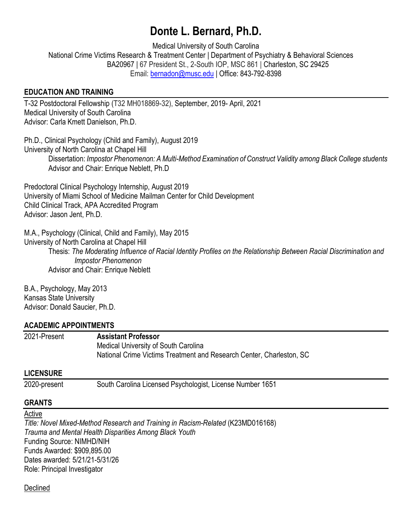# **Donte L. Bernard, Ph.D.**

Medical University of South Carolina National Crime Victims Research & Treatment Center | Department of Psychiatry & Behavioral Sciences BA20967 | 67 President St., 2-South IOP, MSC 861 | Charleston, SC 29425 Email: [bernadon@musc.edu](mailto:bernadon@musc.edu) | Office: 843-792-8398

#### **EDUCATION AND TRAINING**

T-32 Postdoctoral Fellowship (T32 MH018869-32), September, 2019- April, 2021 Medical University of South Carolina Advisor: Carla Kmett Danielson, Ph.D.

Ph.D., Clinical Psychology (Child and Family), August 2019 University of North Carolina at Chapel Hill Dissertation: *Impostor Phenomenon: A Multi-Method Examination of Construct Validity among Black College students* Advisor and Chair: Enrique Neblett, Ph.D

Predoctoral Clinical Psychology Internship, August 2019 University of Miami School of Medicine Mailman Center for Child Development Child Clinical Track, APA Accredited Program Advisor: Jason Jent, Ph.D.

M.A., Psychology (Clinical, Child and Family), May 2015

University of North Carolina at Chapel Hill

Thesis: *The Moderating Influence of Racial Identity Profiles on the Relationship Between Racial Discrimination and Impostor Phenomenon*  Advisor and Chair: Enrique Neblett

B.A., Psychology, May 2013 Kansas State University Advisor: Donald Saucier, Ph.D.

#### **ACADEMIC APPOINTMENTS**

2021-Present **Assistant Professor** Medical University of South Carolina National Crime Victims Treatment and Research Center, Charleston, SC

# **LICENSURE**

2020-present South Carolina Licensed Psychologist, License Number 1651

# **GRANTS**

Active

*Title: Novel Mixed-Method Research and Training in Racism-Related* (K23MD016168) *Trauma and Mental Health Disparities Among Black Youth* Funding Source: NIMHD/NIH Funds Awarded: \$909,895.00 Dates awarded: 5/21/21-5/31/26 Role: Principal Investigator

# Declined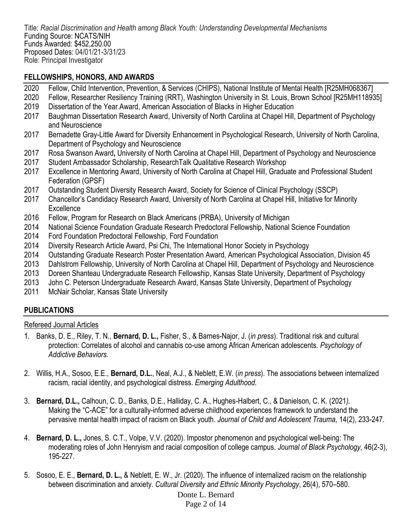Title: *Racial Discrimination and Health among Black Youth: Understanding Developmental Mechanisms* Funding Source: NCATS/NIH Funds Awarded: \$452,250.00 Proposed Dates: 04/01/21-3/31/23 Role: Principal Investigator

#### **FELLOWSHIPS, HONORS, AND AWARDS**

- 2020 Fellow, Child Intervention, Prevention, & Services (CHIPS), National Institute of Mental Health [R25MH068367]
- 2020 Fellow, Researcher Resiliency Training (RRT), Washington University in St. Louis, Brown School [R25MH118935]
- 2019 Dissertation of the Year Award, American Association of Blacks in Higher Education
- 2017 Baughman Dissertation Research Award, University of North Carolina at Chapel Hill, Department of Psychology and Neuroscience
- 2017 Bernadette Gray-Little Award for Diversity Enhancement in Psychological Research, University of North Carolina, Department of Psychology and Neuroscience
- 2017 Rosa Swanson Award**,** University of North Carolina at Chapel Hill, Department of Psychology and Neuroscience
- 2017 Student Ambassador Scholarship, ResearchTalk Qualitative Research Workshop
- 2017 Excellence in Mentoring Award, University of North Carolina at Chapel Hill, Graduate and Professional Student Federation (GPSF)
- 2017 Outstanding Student Diversity Research Award, Society for Science of Clinical Psychology (SSCP)
- 2017 Chancellor's Candidacy Research Award, University of North Carolina at Chapel Hill, Initiative for Minority **Excellence**
- 2016 Fellow, Program for Research on Black Americans (PRBA), University of Michigan
- 2014 National Science Foundation Graduate Research Predoctoral Fellowship, National Science Foundation
- 2014 Ford Foundation Predoctoral Fellowship, Ford Foundation
- 2014 Diversity Research Article Award, Psi Chi, The International Honor Society in Psychology
- 2014 Outstanding Graduate Research Poster Presentation Award, American Psychological Association, Division 45
- 2013 Dahlstrom Fellowship, University of North Carolina at Chapel Hill, Department of Psychology and Neuroscience
- 2013 Doreen Shanteau Undergraduate Research Fellowship, Kansas State University, Department of Psychology
- 2013 John C. Peterson Undergraduate Research Award, Kansas State University, Department of Psychology
- 2011 McNair Scholar, Kansas State University

# **PUBLICATIONS**

#### Refereed Journal Articles

- 1. Banks, D. E., Riley, T. N., **Bernard, D. L.,** Fisher, S., & Barnes-Najor, J. (*in press*). Traditional risk and cultural protection: Correlates of alcohol and cannabis co-use among African American adolescents. *Psychology of Addictive Behaviors.*
- 2. Willis, H.A., Sosoo, E.E., **Bernard, D.L.**, Neal, A.J., & Neblett, E.W. (*in press*). The associations between internalized racism, racial identity, and psychological distress. *Emerging Adulthood.*
- 3. **Bernard, D.L.,** Calhoun, C. D., Banks, D.E., Halliday, C. A., Hughes-Halbert, C., & Danielson, C. K. (2021*).*  Making the "C-ACE" for a culturally-informed adverse childhood experiences framework to understand the pervasive mental health impact of racism on Black youth. *Journal of Child and Adolescent Trauma,* 14(2), 233-247*.*
- 4. **Bernard, D. L.,** Jones, S. C.T., Volpe, V.V. (2020). Impostor phenomenon and psychological well-being: The moderating roles of John Henryism and racial composition of college campus. *Journal of Black Psychology,* 46(2-3), 195-227.
- 5. Sosoo, E. E., **Bernard, D. L.,** & Neblett, E. W., Jr. (2020). The influence of internalized racism on the relationship between discrimination and anxiety. *Cultural Diversity and Ethnic Minority Psychology*, 26(4), 570–580.

#### Donte L. Bernard Page 2 of 14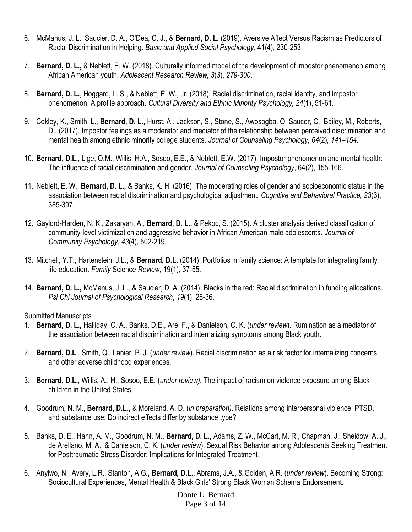- 6. McManus, J. L., Saucier, D. A., O'Dea, C. J., & **Bernard, D. L.** (2019). Aversive Affect Versus Racism as Predictors of Racial Discrimination in Helping. *Basic and Applied Social Psychology*, 41(4), 230-253.
- 7. **Bernard, D. L.,** & Neblett, E. W. (2018). Culturally informed model of the development of impostor phenomenon among African American youth. *Adolescent Research Review, 3*(*3*), *279-300*.
- 8. **Bernard, D. L.**, Hoggard, L. S., & Neblett, E. W., Jr. (2018). Racial discrimination, racial identity, and impostor phenomenon: A profile approach. *Cultural Diversity and Ethnic Minority Psychology, 24*(1), 51-61.
- 9. Cokley, K., Smith, L., **Bernard, D. L.,** Hurst, A., Jackson, S., Stone, S., Awosogba, O, Saucer, C., Bailey, M., Roberts, D., (2017). Impostor feelings as a moderator and mediator of the relationship between perceived discrimination and mental health among ethnic minority college students. *Journal of Counseling Psychology, 64*(2)*, 141–154.*
- 10. **Bernard, D.L.,** Lige, Q.M., Willis, H.A., Sosoo, E.E., & Neblett, E.W. (2017). Impostor phenomenon and mental health: The influence of racial discrimination and gender. *Journal of Counseling Psychology*, 64(2), 155-166.
- 11. Neblett, E. W., **Bernard, D. L.,** & Banks, K. H. (2016). The moderating roles of gender and socioeconomic status in the association between racial discrimination and psychological adjustment. *Cognitive and Behavioral Practice, 23*(3), 385-397*.*
- 12. Gaylord-Harden, N. K., Zakaryan, A., **Bernard, D. L.,** & Pekoc, S. (2015). A cluster analysis derived classification of community-level victimization and aggressive behavior in African American male adolescents*. Journal of Community Psychology*, *43*(4), 502-219.
- 13. Mitchell, Y.T., Hartenstein, J.L., & **Bernard, D.L.** (2014). Portfolios in family science: A template for integrating family life education. *Family* Science *Review*, 19(1), 37-55.
- 14. **Bernard, D. L.,** McManus, J. L., & Saucier, D. A. (2014). Blacks in the red: Racial discrimination in funding allocations. *Psi Chi Journal of Psychological Research*, *19*(1), 28-36.

#### Submitted Manuscripts

- 1. **Bernard, D. L.,** Halliday, C. A., Banks, D.E., Are, F., & Danielson, C. K. (*under review*). Rumination as a mediator of the association between racial discrimination and internalizing symptoms among Black youth.
- 2. **Bernard, D.L**., Smith, Q., Lanier. P. J. (*under review*). Racial discrimination as a risk factor for internalizing concerns and other adverse childhood experiences.
- 3. **Bernard, D.L.,** Willis, A., H., Sosoo, E.E. (*under review).* The impact of racism on violence exposure among Black children in the United States.
- 4. Goodrum, N. M., **Bernard, D.L.,** & Moreland, A. D. (*in preparation)*. Relations among interpersonal violence, PTSD, and substance use: Do indirect effects differ by substance type?
- 5. Banks, D. E., Hahn, A. M., Goodrum, N. M., **Bernard, D. L.,** Adams, Z. W., McCart, M. R., Chapman, J., Sheidow, A. J., de Arellano, M. A., & Danielson, C. K. (*under review*). Sexual Risk Behavior among Adolescents Seeking Treatment for Posttraumatic Stress Disorder: Implications for Integrated Treatment.
- 6. Anyiwo, N., Avery, L.R., Stanton, A.G**., Bernard, D.L.,** Abrams, J.A., & Golden, A.R. (*under review*). Becoming Strong: Sociocultural Experiences, Mental Health & Black Girls' Strong Black Woman Schema Endorsement.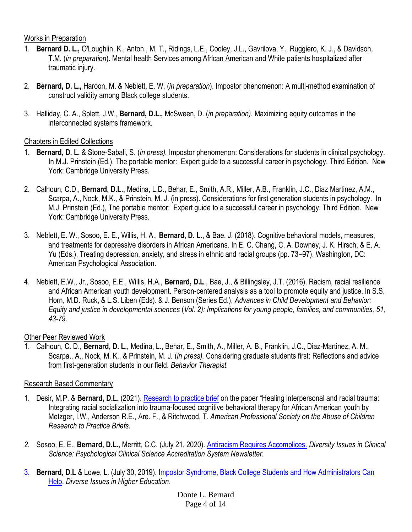#### Works in Preparation

- 1. **Bernard D. L.,** O'Loughlin, K., Anton., M. T., Ridings, L.E., Cooley, J.L., Gavrilova, Y., Ruggiero, K. J., & Davidson, T.M. (*in preparation*). Mental health Services among African American and White patients hospitalized after traumatic injury.
- 2. **Bernard, D. L.,** Haroon, M. & Neblett, E. W. (*in preparation*). Impostor phenomenon: A multi-method examination of construct validity among Black college students.
- 3. Halliday, C. A., Splett, J.W., **Bernard, D.L.,** McSween, D. (*in preparation)*. Maximizing equity outcomes in the interconnected systems framework.

# Chapters in Edited Collections

- 1. **Bernard, D. L.** & Stone-Sabali, S. (*in press).* Impostor phenomenon: Considerations for students in clinical psychology. In M.J. Prinstein (Ed.), The portable mentor: Expert guide to a successful career in psychology. Third Edition. New York: Cambridge University Press.
- 2. Calhoun, C.D., **Bernard, D.L.,** Medina, L.D., Behar, E., Smith, A.R., Miller, A.B., Franklin, J.C., Diaz Martinez, A.M., Scarpa, A., Nock, M.K., & Prinstein, M. J. (in press). Considerations for first generation students in psychology. In M.J. Prinstein (Ed.), The portable mentor: Expert guide to a successful career in psychology. Third Edition. New York: Cambridge University Press.
- 3. Neblett, E. W., Sosoo, E. E., Willis, H. A., **Bernard, D. L.,** & Bae, J. (2018). Cognitive behavioral models, measures, and treatments for depressive disorders in African Americans. In E. C. Chang, C. A. Downey, J. K. Hirsch, & E. A. Yu (Eds.), Treating depression, anxiety, and stress in ethnic and racial groups (pp. 73–97). Washington, DC: American Psychological Association.
- 4. Neblett, E.W., Jr., Sosoo, E.E., Willis, H.A., **Bernard, D.L**., Bae, J., & Billingsley, J.T. (2016). Racism, racial resilience and African American youth development. Person-centered analysis as a tool to promote equity and justice. In S.S. Horn, M.D. Ruck, & L.S. Liben (Eds). & J. Benson (Series Ed.), *Advances in Child Development and Behavior: Equity and justice in developmental sciences* (*Vol. 2): Implications for young people, families, and communities, 51, 43-79.*

# Other Peer Reviewed Work

1. Calhoun, C. D., **Bernard, D. L.,** Medina, L., Behar, E., Smith, A., Miller, A. B., Franklin, J.C., Diaz-Martinez, A. M., Scarpa., A., Nock, M. K., & Prinstein, M. J*.* (*in press).* Considering graduate students first: Reflections and advice from first-generation students in our field. *Behavior Therapist.*

# Research Based Commentary

- 1. Desir, M.P. & **Bernard, D.L.** (2021). [Research to practice brief](https://2a566822-8004-431f-b136-8b004d74bfc2.filesusr.com/ugd/4700a8_768c33c4c804437795bd3e08a29c4936.pdf) on the paper "Healing interpersonal and racial trauma: Integrating racial socialization into trauma-focused cognitive behavioral therapy for African American youth by Metzger, I.W., Anderson R.E., Are. F., & Ritchwood, T. *American Professional Society on the Abuse of Children Research to Practice Briefs.*
- *2.* Sosoo, E. E., **Bernard, D.L.,** Merritt, C.C. (July 21, 2020). [Antiracism Requires Accomplices.](https://www.pcsasnews.org/antiracism-requires-accomplices) *Diversity Issues in Clinical Science: Psychological Clinical Science Accreditation System Newsletter.*
- 3. **Bernard, D.L** & Lowe, L. (July 30, 2019). [Impostor Syndrome, Black College Students and How Administrators Can](https://diverseeducation.com/article/150966/)  [Help.](https://diverseeducation.com/article/150966/) *Diverse Issues in Higher Education*.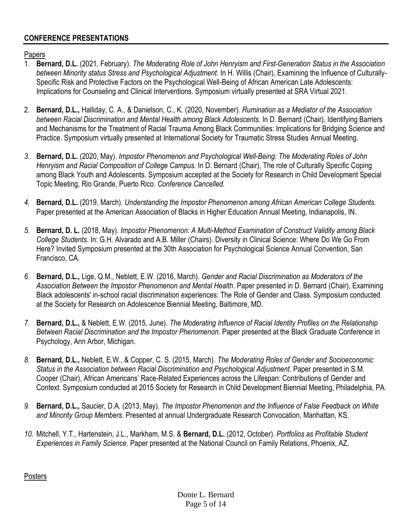# **CONFERENCE PRESENTATIONS**

Papers

- 1. **Bernard, D.L.** (2021, February). *The Moderating Role of John Henryism and First-Generation Status in the Association between Minority status Stress and Psychological Adjustment.* In H. Willis (Chair), Examining the Influence of Culturally-Specific Risk and Protective Factors on the Psychological Well-Being of African American Late Adolescents: Implications for Counseling and Clinical Interventions. Symposium virtually presented at SRA Virtual 2021.
- 2. **Bernard, D.L.,** Halliday, C. A., & Danielson, C., K. (2020, November). *Rumination as a Mediator of the Association between Racial Discrimination and Mental Health among Black Adolescents.* In D. Bernard (Chair), Identifying Barriers and Mechanisms for the Treatment of Racial Trauma Among Black Communities: Implications for Bridging Science and Practice. Symposium virtually presented at International Society for Traumatic Stress Studies Annual Meeting.
- *3.* **Bernard, D.L.** (2020, May). *Impostor Phenomenon and Psychological Well-Being: The Moderating Roles of John Henryism and Racial Composition of College Campus.* In D. Bernard (Chair), The role of Culturally Specific Coping among Black Youth and Adolescents. Symposium accepted at the Society for Research in Child Development Special Topic Meeting, Rio Grande, Puerto Rico. *Conference Cancelled.*
- *4.* **Bernard, D.L.** (2019, March). *Understanding the Impostor Phenomenon among African American College Students.*  Paper presented at the American Association of Blacks in Higher Education Annual Meeting, Indianapolis, IN.
- *5.* **Bernard, D. L.** (2018, May). *Impostor Phenomenon: A Multi-Method Examination of Construct Validity among Black College Students*. In: G.H. Alvarado and A.B. Miller (Chairs). Diversity in Clinical Science: Where Do We Go From Here? Invited Symposium presented at the 30th Association for Psychological Science Annual Convention, San Francisco, CA.
- *6.* **Bernard, D.L.,** Lige, Q.M., Neblett, E.W. (2016, March). *Gender and Racial Discrimination as Moderators of the Association Between the Impostor Phenomenon and Mental Health*. Paper presented in D. Bernard (Chair), Examining Black adolescents' in-school racial discrimination experiences: The Role of Gender and Class. Symposium conducted at the Society for Research on Adolescence Biennial Meeting, Baltimore, MD.
- *7.* **Bernard, D.L.,** & Neblett, E.W. (2015, June). *The Moderating Influence of Racial Identity Profiles on the Relationship Between Racial Discrimination and the Impostor Phenomenon*. Paper presented at the Black Graduate Conference in Psychology, Ann Arbor, Michigan.
- *8.* **Bernard, D.L.,** Neblett, E.W., & Copper, C. S. (2015, March). *The Moderating Roles of Gender and Socioeconomic Status in the Association between Racial Discrimination and Psychological Adjustment*. Paper presented in S.M. Cooper (Chair), African Americans' Race-Related Experiences across the Lifespan: Contributions of Gender and Context. Symposium conducted at 2015 Society for Research in Child Development Biennial Meeting, Philadelphia, PA.
- *9.* **Bernard, D.L.,** Saucier, D.A. (2013, May). *The Impostor Phenomenon and the Influence of False Feedback on White and Minority Group Members*. Presented at annual Undergraduate Research Convocation, Manhattan, KS.
- *10.* Mitchell, Y.T., Hartenstein, J.L., Markham, M.S. & **Bernard, D.L.** (2012, October). *Portfolios as Profitable Student Experiences in Family Science*. Paper presented at the National Council on Family Relations, Phoenix, AZ.

Posters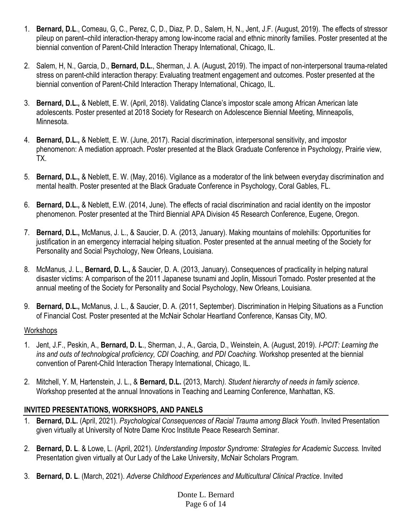- 1. **Bernard, D.L**., Comeau, G, C., Perez, C, D., Diaz, P. D., Salem, H, N., Jent, J.F. (August, 2019). The effects of stressor pileup on parent–child interaction-therapy among low-income racial and ethnic minority families. Poster presented at the biennial convention of Parent-Child Interaction Therapy International, Chicago, IL.
- 2. Salem, H, N., Garcia, D., **Bernard, D.L.**, Sherman, J. A. (August, 2019). The impact of non-interpersonal trauma-related stress on parent-child interaction therapy: Evaluating treatment engagement and outcomes. Poster presented at the biennial convention of Parent-Child Interaction Therapy International, Chicago, IL.
- 3. **Bernard, D.L.,** & Neblett, E. W. (April, 2018). Validating Clance's impostor scale among African American late adolescents. Poster presented at 2018 Society for Research on Adolescence Biennial Meeting, Minneapolis, Minnesota.
- 4. **Bernard, D.L.,** & Neblett, E. W. (June, 2017). Racial discrimination, interpersonal sensitivity, and impostor phenomenon: A mediation approach. Poster presented at the Black Graduate Conference in Psychology, Prairie view, TX.
- 5. **Bernard, D.L.,** & Neblett, E. W. (May, 2016). Vigilance as a moderator of the link between everyday discrimination and mental health. Poster presented at the Black Graduate Conference in Psychology, Coral Gables, FL.
- 6. **Bernard, D.L.,** & Neblett, E.W. (2014, June). The effects of racial discrimination and racial identity on the impostor phenomenon*.* Poster presented at the Third Biennial APA Division 45 Research Conference, Eugene, Oregon.
- 7. **Bernard, D.L.,** McManus, J. L., & Saucier, D. A. (2013, January). Making mountains of molehills: Opportunities for justification in an emergency interracial helping situation. Poster presented at the annual meeting of the Society for Personality and Social Psychology, New Orleans, Louisiana.
- 8. McManus, J. L., **Bernard, D. L.,** & Saucier, D. A. (2013, January). Consequences of practicality in helping natural disaster victims: A comparison of the 2011 Japanese tsunami and Joplin, Missouri Tornado. Poster presented at the annual meeting of the Society for Personality and Social Psychology, New Orleans, Louisiana.
- 9. **Bernard, D.L.,** McManus, J. L., & Saucier, D. A. (2011, September). Discrimination in Helping Situations as a Function of Financial Cost*.* Poster presented at the McNair Scholar Heartland Conference, Kansas City, MO.

# **Workshops**

- 1. Jent, J.F., Peskin, A., **Bernard, D. L**., Sherman, J., A., Garcia, D., Weinstein, A. (August, 2019). *I-PCIT: Learning the ins and outs of technological proficiency, CDI Coaching, and PDI Coaching.* Workshop presented at the biennial convention of Parent-Child Interaction Therapy International, Chicago, IL.
- 2. Mitchell, Y. M, Hartenstein, J. L., & **Bernard, D.L.** (2013, March*). Student hierarchy of needs in family science*. Workshop presented at the annual Innovations in Teaching and Learning Conference, Manhattan, KS.

# **INVITED PRESENTATIONS, WORKSHOPS, AND PANELS**

- 1. **Bernard, D.L.** (April, 2021). *Psychological Consequences of Racial Trauma among Black Youth*. Invited Presentation given virtually at University of Notre Dame Kroc Institute Peace Research Seminar.
- 2. **Bernard, D. L**. & Lowe, L. (April, 2021). *Understanding Impostor Syndrome: Strategies for Academic Success.* Invited Presentation given virtually at Our Lady of the Lake University, McNair Scholars Program.
- 3. **Bernard, D. L**. (March, 2021). *Adverse Childhood Experiences and Multicultural Clinical Practice*. Invited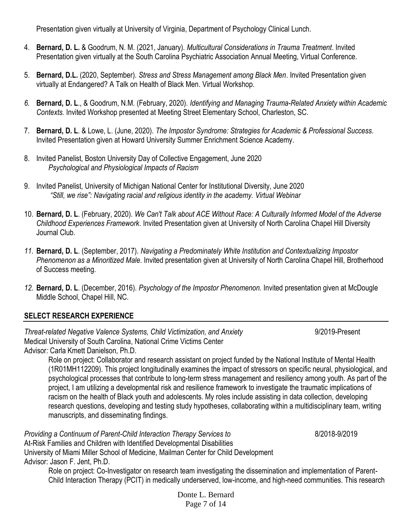Presentation given virtually at University of Virginia, Department of Psychology Clinical Lunch.

- 4. **Bernard, D. L.** & Goodrum, N. M. (2021, January). *Multicultural Considerations in Trauma Treatment*. Invited Presentation given virtually at the South Carolina Psychiatric Association Annual Meeting, Virtual Conference.
- 5. **Bernard, D.L.** (2020, September). *Stress and Stress Management among Black Men*. Invited Presentation given virtually at Endangered? A Talk on Health of Black Men. Virtual Workshop.
- *6.* **Bernard, D. L**., & Goodrum, N.M. (February, 2020). *Identifying and Managing Trauma-Related Anxiety within Academic Contexts.* Invited Workshop presented at Meeting Street Elementary School, Charleston, SC.
- 7. **Bernard, D. L**. & Lowe, L. (June, 2020). *The Impostor Syndrome: Strategies for Academic & Professional Success.*  Invited Presentation given at Howard University Summer Enrichment Science Academy.
- 8. Invited Panelist, Boston University Day of Collective Engagement, June 2020 *Psychological and Physiological Impacts of Racism*
- 9. Invited Panelist, University of Michigan National Center for Institutional Diversity, June 2020 *"Still, we rise": Navigating racial and religious identity in the academy. Virtual Webinar*
- 10. **Bernard, D. L**. (February, 2020). *We Can't Talk about ACE Without Race: A Culturally Informed Model of the Adverse Childhood Experiences Framework.* Invited Presentation given at University of North Carolina Chapel Hill Diversity Journal Club.
- *11.* **Bernard, D. L**. (September, 2017). *Navigating a Predominately White Institution and Contextualizing Impostor Phenomenon as a Minoritized Male.* Invited presentation given at University of North Carolina Chapel Hill, Brotherhood of Success meeting.
- *12.* **Bernard, D. L**. (December, 2016). *Psychology of the Impostor Phenomenon.* Invited presentation given at McDougle Middle School, Chapel Hill, NC.

# **SELECT RESEARCH EXPERIENCE**

*Threat-related Negative Valence Systems, Child Victimization, and Anxiety* 9/2019-Present Medical University of South Carolina, National Crime Victims Center Advisor*:* Carla Kmett Danielson, Ph.D.

Role on project: Collaborator and research assistant on project funded by the National Institute of Mental Health (1R01MH112209). This project longitudinally examines the impact of stressors on specific neural, physiological, and psychological processes that contribute to long-term stress management and resiliency among youth. As part of the project, I am utilizing a developmental risk and resilience framework to investigate the traumatic implications of racism on the health of Black youth and adolescents. My roles include assisting in data collection, developing research questions, developing and testing study hypotheses, collaborating within a multidisciplinary team, writing manuscripts, and disseminating findings.

*Providing a Continuum of Parent-Child Interaction Therapy Services to* 8/2018-9/2019 At-Risk Families and Children with Identified Developmental Disabilities University of Miami Miller School of Medicine, Mailman Center for Child Development Advisor: Jason F. Jent, Ph.D.

Role on project: Co-Investigator on research team investigating the dissemination and implementation of Parent-Child Interaction Therapy (PCIT) in medically underserved, low-income, and high-need communities. This research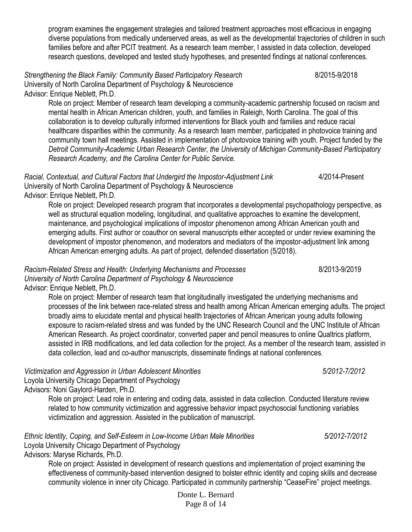Donte L. Bernard Page 8 of 14

program examines the engagement strategies and tailored treatment approaches most efficacious in engaging diverse populations from medically underserved areas, as well as the developmental trajectories of children in such families before and after PCIT treatment. As a research team member, I assisted in data collection, developed research questions, developed and tested study hypotheses, and presented findings at national conferences.

*Strengthening the Black Family: Community Based Participatory Research* 8/2015-9/2018 University of North Carolina Department of Psychology & Neuroscience

Advisor: Enrique Neblett, Ph.D.

Role on project: Member of research team developing a community-academic partnership focused on racism and mental health in African American children, youth, and families in Raleigh, North Carolina. The goal of this collaboration is to develop culturally informed interventions for Black youth and families and reduce racial healthcare disparities within the community. As a research team member, participated in photovoice training and community town hall meetings. Assisted in implementation of photovoice training with youth. Project funded by the *Detroit Community-Academic Urban Research Center, the University of Michigan Community-Based Participatory Research Academy, and the Carolina Center for Public Service.*

Racial, Contextual, and Cultural Factors that Undergird the Impostor-Adjustment Link 4/2014-Present University of North Carolina Department of Psychology & Neuroscience

Advisor: Enrique Neblett, Ph.D.

Role on project: Developed research program that incorporates a developmental psychopathology perspective, as well as structural equation modeling, longitudinal, and qualitative approaches to examine the development, maintenance, and psychological implications of impostor phenomenon among African American youth and emerging adults. First author or coauthor on several manuscripts either accepted or under review examining the development of impostor phenomenon, and moderators and mediators of the impostor-adjustment link among African American emerging adults. As part of project, defended dissertation (5/2018).

*Racism-Related Stress and Health: Underlying Mechanisms and Processes* 8/2013-9/2019 *University of North Carolina Department of Psychology & Neuroscience* Advisor: Enrique Neblett, Ph.D.

Role on project: Member of research team that longitudinally investigated the underlying mechanisms and processes of the link between race-related stress and health among African American emerging adults. The project broadly aims to elucidate mental and physical health trajectories of African American young adults following exposure to racism-related stress and was funded by the UNC Research Council and the UNC Institute of African American Research. As project coordinator, converted paper and pencil measures to online Qualtrics platform, assisted in IRB modifications, and led data collection for the project. As a member of the research team, assisted in data collection, lead and co-author manuscripts, disseminate findings at national conferences.

*Victimization and Aggression in Urban Adolescent Minorities**5/2012-7/2012*

Loyola University Chicago Department of Psychology Advisors: Noni Gaylord-Harden, Ph.D.

> Role on project: Lead role in entering and coding data, assisted in data collection. Conducted literature review related to how community victimization and aggressive behavior impact psychosocial functioning variables victimization and aggression. Assisted in the publication of manuscript.

#### *Ethnic Identity, Coping, and Self-Esteem in Low-Income Urban Male Minorities**5/2012-7/2012* Loyola University Chicago Department of Psychology

Advisors: Maryse Richards, Ph.D.

Role on project: Assisted in development of research questions and implementation of project examining the effectiveness of community-based intervention designed to bolster ethnic identity and coping skills and decrease community violence in inner city Chicago. Participated in community partnership "CeaseFire" project meetings.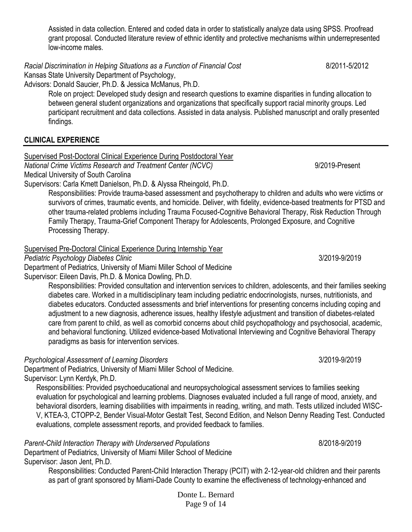Assisted in data collection. Entered and coded data in order to statistically analyze data using SPSS. Proofread grant proposal. Conducted literature review of ethnic identity and protective mechanisms within underrepresented low-income males.

*Racial Discrimination in Helping Situations as a Function of Financial Cost*8/2011-5/2012

Kansas State University Department of Psychology,

Advisors: Donald Saucier, Ph.D. & Jessica McManus, Ph.D.

Role on project: Developed study design and research questions to examine disparities in funding allocation to between general student organizations and organizations that specifically support racial minority groups. Led participant recruitment and data collections. Assisted in data analysis. Published manuscript and orally presented findings.

# **CLINICAL EXPERIENCE**

Supervised Post-Doctoral Clinical Experience During Postdoctoral Year

*National Crime Victims Research and Treatment Center (NCVC)* 9/2019-Present Medical University of South Carolina

Supervisors: Carla Kmett Danielson, Ph.D. & Alyssa Rheingold, Ph.D.

Responsibilities: Provide trauma-based assessment and psychotherapy to children and adults who were victims or survivors of crimes, traumatic events, and homicide. Deliver, with fidelity, evidence-based treatments for PTSD and other trauma-related problems including Trauma Focused-Cognitive Behavioral Therapy, Risk Reduction Through Family Therapy, Trauma-Grief Component Therapy for Adolescents, Prolonged Exposure, and Cognitive Processing Therapy.

#### Supervised Pre-Doctoral Clinical Experience During Internship Year

*Pediatric Psychology Diabetes Clinic*3/2019-9/2019

Department of Pediatrics, University of Miami Miller School of Medicine

Supervisor: Eileen Davis, Ph.D. & Monica Dowling, Ph.D.

Responsibilities: Provided consultation and intervention services to children, adolescents, and their families seeking diabetes care. Worked in a multidisciplinary team including pediatric endocrinologists, nurses, nutritionists, and diabetes educators. Conducted assessments and brief interventions for presenting concerns including coping and adjustment to a new diagnosis, adherence issues, healthy lifestyle adjustment and transition of diabetes-related care from parent to child, as well as comorbid concerns about child psychopathology and psychosocial, academic, and behavioral functioning. Utilized evidence-based Motivational Interviewing and Cognitive Behavioral Therapy paradigms as basis for intervention services.

# *Psychological Assessment of Learning Disorders*3/2019-9/2019

Department of Pediatrics, University of Miami Miller School of Medicine.

Supervisor: Lynn Kerdyk, Ph.D.

Responsibilities: Provided psychoeducational and neuropsychological assessment services to families seeking evaluation for psychological and learning problems. Diagnoses evaluated included a full range of mood, anxiety, and behavioral disorders, learning disabilities with impairments in reading, writing, and math. Tests utilized included WISC-V, KTEA-3, CTOPP-2, Bender Visual-Motor Gestalt Test, Second Edition, and Nelson Denny Reading Test. Conducted evaluations, complete assessment reports, and provided feedback to families.

Parent-Child Interaction Therapy with Underserved Populations **8/2018-8/2018-9/2019** Department of Pediatrics, University of Miami Miller School of Medicine

Supervisor: Jason Jent, Ph.D.

Responsibilities: Conducted Parent-Child Interaction Therapy (PCIT) with 2-12-year-old children and their parents as part of grant sponsored by Miami-Dade County to examine the effectiveness of technology-enhanced and

> Donte L. Bernard Page 9 of 14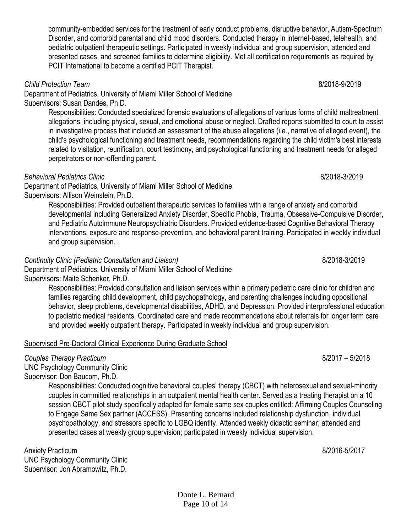Donte L. Bernard Page 10 of 14

community-embedded services for the treatment of early conduct problems, disruptive behavior, Autism-Spectrum Disorder, and comorbid parental and child mood disorders. Conducted therapy in internet-based, telehealth, and pediatric outpatient therapeutic settings. Participated in weekly individual and group supervision, attended and presented cases, and screened families to determine eligibility. Met all certification requirements as required by PCIT International to become a certified PCIT Therapist.

*Child Protection Team* 8/2018-9/2019

Department of Pediatrics, University of Miami Miller School of Medicine Supervisors: Susan Dandes, Ph.D.

> Responsibilities: Conducted specialized forensic evaluations of allegations of various forms of child maltreatment allegations, including physical, sexual, and emotional abuse or neglect. Drafted reports submitted to court to assist in investigative process that included an assessment of the abuse allegations (i.e., narrative of alleged event), the child's psychological functioning and treatment needs, recommendations regarding the child victim's best interests related to visitation, reunification, court testimony, and psychological functioning and treatment needs for alleged perpetrators or non-offending parent.

#### *Behavioral Pediatrics Clinic* 8/2018-3/2019

Department of Pediatrics, University of Miami Miller School of Medicine Supervisors: Allison Weinstein, Ph.D.

> Responsibilities: Provided outpatient therapeutic services to families with a range of anxiety and comorbid developmental including Generalized Anxiety Disorder, Specific Phobia, Trauma, Obsessive-Compulsive Disorder, and Pediatric Autoimmune Neuropsychiatric Disorders. Provided evidence-based Cognitive Behavioral Therapy interventions, exposure and response-prevention, and behavioral parent training. Participated in weekly individual and group supervision*.*

#### *Continuity Clinic (Pediatric Consultation and Liaison)* 8/2018-3/2019

Department of Pediatrics, University of Miami Miller School of Medicine Supervisors: Maite Schenker, Ph.D.

> Responsibilities: Provided consultation and liaison services within a primary pediatric care clinic for children and families regarding child development, child psychopathology, and parenting challenges including oppositional behavior, sleep problems, developmental disabilities, ADHD, and Depression. Provided interprofessional education to pediatric medical residents. Coordinated care and made recommendations about referrals for longer term care and provided weekly outpatient therapy. Participated in weekly individual and group supervision.

#### Supervised Pre-Doctoral Clinical Experience During Graduate School

# *Couples Therapy Practicum*8/2017 – 5/2018

UNC Psychology Community Clinic Supervisor: Don Baucom, Ph.D.

Responsibilities: Conducted cognitive behavioral couples' therapy (CBCT) with heterosexual and sexual-minority couples in committed relationships in an outpatient mental health center. Served as a treating therapist on a 10 session CBCT pilot study specifically adapted for female same sex couples entitled: Affirming Couples Counseling to Engage Same Sex partner (ACCESS). Presenting concerns included relationship dysfunction, individual psychopathology, and stressors specific to LGBQ identity. Attended weekly didactic seminar; attended and presented cases at weekly group supervision; participated in weekly individual supervision.

Anxiety Practicum 8/2016-5/2017 UNC Psychology Community Clinic Supervisor: Jon Abramowitz, Ph.D.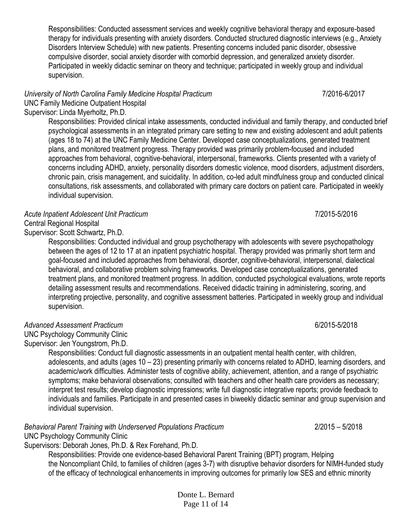Responsibilities: Conducted assessment services and weekly cognitive behavioral therapy and exposure-based therapy for individuals presenting with anxiety disorders. Conducted structured diagnostic interviews (e.g., Anxiety Disorders Interview Schedule) with new patients. Presenting concerns included panic disorder, obsessive compulsive disorder, social anxiety disorder with comorbid depression, and generalized anxiety disorder. Participated in weekly didactic seminar on theory and technique; participated in weekly group and individual supervision.

# *University of North Carolina Family Medicine Hospital Practicum*7/2016-6/2017

UNC Family Medicine Outpatient Hospital Supervisor: Linda Myerholtz, Ph.D.

> Responsibilities: Provided clinical intake assessments, conducted individual and family therapy, and conducted brief psychological assessments in an integrated primary care setting to new and existing adolescent and adult patients (ages 18 to 74) at the UNC Family Medicine Center. Developed case conceptualizations, generated treatment plans, and monitored treatment progress. Therapy provided was primarily problem-focused and included approaches from behavioral, cognitive-behavioral, interpersonal, frameworks. Clients presented with a variety of concerns including ADHD, anxiety, personality disorders domestic violence, mood disorders, adjustment disorders, chronic pain, crisis management, and suicidality. In addition, co-led adult mindfulness group and conducted clinical consultations, risk assessments, and collaborated with primary care doctors on patient care. Participated in weekly individual supervision.

#### Acute Inpatient Adolescent Unit Practicum **7/2015-5/2016** 7/2015-5/2016

Central Regional Hospital

Supervisor: Scott Schwartz, Ph.D.

Responsibilities: Conducted individual and group psychotherapy with adolescents with severe psychopathology between the ages of 12 to 17 at an inpatient psychiatric hospital. Therapy provided was primarily short term and goal-focused and included approaches from behavioral, disorder, cognitive-behavioral, interpersonal, dialectical behavioral, and collaborative problem solving frameworks. Developed case conceptualizations, generated treatment plans, and monitored treatment progress. In addition, conducted psychological evaluations, wrote reports detailing assessment results and recommendations. Received didactic training in administering, scoring, and interpreting projective, personality, and cognitive assessment batteries. Participated in weekly group and individual supervision.

#### *Advanced Assessment Practicum* 6/2015-5/2018

UNC Psychology Community Clinic Supervisor: Jen Youngstrom, Ph.D.

Responsibilities: Conduct full diagnostic assessments in an outpatient mental health center, with children, adolescents, and adults (ages 10 – 23) presenting primarily with concerns related to ADHD, learning disorders, and academic/work difficulties. Administer tests of cognitive ability, achievement, attention, and a range of psychiatric symptoms; make behavioral observations; consulted with teachers and other health care providers as necessary; interpret test results; develop diagnostic impressions; write full diagnostic integrative reports; provide feedback to individuals and families. Participate in and presented cases in biweekly didactic seminar and group supervision and individual supervision.

*Behavioral Parent Training with Underserved Populations Practicum*2/2015 – 5/2018

UNC Psychology Community Clinic

Supervisors: Deborah Jones, Ph.D. & Rex Forehand, Ph.D.

Responsibilities: Provide one evidence-based Behavioral Parent Training (BPT) program, Helping the Noncompliant Child, to families of children (ages 3-7) with disruptive behavior disorders for NIMH-funded study of the efficacy of technological enhancements in improving outcomes for primarily low SES and ethnic minority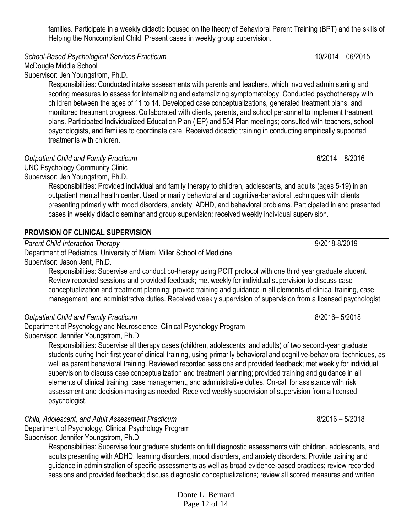families. Participate in a weekly didactic focused on the theory of Behavioral Parent Training (BPT) and the skills of Helping the Noncompliant Child. Present cases in weekly group supervision.

*School-Based Psychological Services Practicum* 10/2014 – 06/2015

McDougle Middle School

Supervisor: Jen Youngstrom, Ph.D.

Responsibilities: Conducted intake assessments with parents and teachers, which involved administering and scoring measures to assess for internalizing and externalizing symptomatology. Conducted psychotherapy with children between the ages of 11 to 14. Developed case conceptualizations, generated treatment plans, and monitored treatment progress. Collaborated with clients, parents, and school personnel to implement treatment plans. Participated Individualized Education Plan (IEP) and 504 Plan meetings; consulted with teachers, school psychologists, and families to coordinate care. Received didactic training in conducting empirically supported treatments with children.

*Outpatient Child and Family Practicum*6/2014 – 8/2016

UNC Psychology Community Clinic Supervisor: Jen Youngstrom, Ph.D.

> Responsibilities: Provided individual and family therapy to children, adolescents, and adults (ages 5-19) in an outpatient mental health center. Used primarily behavioral and cognitive-behavioral techniques with clients presenting primarily with mood disorders, anxiety, ADHD, and behavioral problems. Participated in and presented cases in weekly didactic seminar and group supervision; received weekly individual supervision.

#### **PROVISION OF CLINICAL SUPERVISION**

*Parent Child Interaction Therapy*9/2018-8/2019 Department of Pediatrics, University of Miami Miller School of Medicine Supervisor: Jason Jent, Ph.D.

Responsibilities: Supervise and conduct co-therapy using PCIT protocol with one third year graduate student. Review recorded sessions and provided feedback; met weekly for individual supervision to discuss case conceptualization and treatment planning; provide training and guidance in all elements of clinical training, case management, and administrative duties. Received weekly supervision of supervision from a licensed psychologist.

#### *Outpatient Child and Family Practicum*8/2016– 5/2018

Department of Psychology and Neuroscience, Clinical Psychology Program Supervisor: Jennifer Youngstrom, Ph.D.

> Responsibilities: Supervise all therapy cases (children, adolescents, and adults) of two second-year graduate students during their first year of clinical training, using primarily behavioral and cognitive-behavioral techniques, as well as parent behavioral training. Reviewed recorded sessions and provided feedback; met weekly for individual supervision to discuss case conceptualization and treatment planning; provided training and guidance in all elements of clinical training, case management, and administrative duties. On-call for assistance with risk assessment and decision-making as needed. Received weekly supervision of supervision from a licensed psychologist.

*Child, Adolescent, and Adult Assessment Practicum*8/2016 – 5/2018 Department of Psychology, Clinical Psychology Program

Supervisor: Jennifer Youngstrom, Ph.D.

Responsibilities: Supervise four graduate students on full diagnostic assessments with children, adolescents, and adults presenting with ADHD, learning disorders, mood disorders, and anxiety disorders. Provide training and guidance in administration of specific assessments as well as broad evidence-based practices; review recorded sessions and provided feedback; discuss diagnostic conceptualizations; review all scored measures and written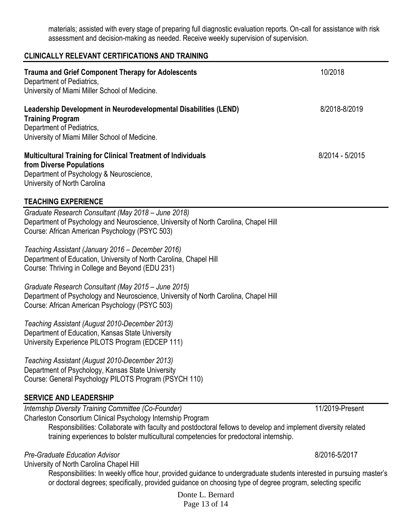materials; assisted with every stage of preparing full diagnostic evaluation reports. On-call for assistance with risk assessment and decision-making as needed. Receive weekly supervision of supervision.

#### **CLINICALLY RELEVANT CERTIFICATIONS AND TRAINING**

| <b>Trauma and Grief Component Therapy for Adolescents</b><br>Department of Pediatrics,<br>University of Miami Miller School of Medicine.                                                                                                                                                                                         | 10/2018         |
|----------------------------------------------------------------------------------------------------------------------------------------------------------------------------------------------------------------------------------------------------------------------------------------------------------------------------------|-----------------|
| Leadership Development in Neurodevelopmental Disabilities (LEND)<br><b>Training Program</b><br>Department of Pediatrics,<br>University of Miami Miller School of Medicine.                                                                                                                                                       | 8/2018-8/2019   |
| <b>Multicultural Training for Clinical Treatment of Individuals</b><br>from Diverse Populations<br>Department of Psychology & Neuroscience,<br>University of North Carolina                                                                                                                                                      | 8/2014 - 5/2015 |
| <b>TEACHING EXPERIENCE</b>                                                                                                                                                                                                                                                                                                       |                 |
| Graduate Research Consultant (May 2018 - June 2018)<br>Department of Psychology and Neuroscience, University of North Carolina, Chapel Hill<br>Course: African American Psychology (PSYC 503)                                                                                                                                    |                 |
| Teaching Assistant (January 2016 – December 2016)<br>Department of Education, University of North Carolina, Chapel Hill<br>Course: Thriving in College and Beyond (EDU 231)                                                                                                                                                      |                 |
| Graduate Research Consultant (May 2015 - June 2015)<br>Department of Psychology and Neuroscience, University of North Carolina, Chapel Hill<br>Course: African American Psychology (PSYC 503)                                                                                                                                    |                 |
| Teaching Assistant (August 2010-December 2013)<br>Department of Education, Kansas State University<br>University Experience PILOTS Program (EDCEP 111)                                                                                                                                                                           |                 |
| Teaching Assistant (August 2010-December 2013)<br>Department of Psychology, Kansas State University<br>Course: General Psychology PILOTS Program (PSYCH 110)                                                                                                                                                                     |                 |
| <b>SERVICE AND LEADERSHIP</b>                                                                                                                                                                                                                                                                                                    |                 |
| Internship Diversity Training Committee (Co-Founder)<br>Charleston Consortium Clinical Psychology Internship Program<br>Responsibilities: Collaborate with faculty and postdoctoral fellows to develop and implement diversity related<br>training experiences to bolster multicultural competencies for predoctoral internship. | 11/2019-Present |
| Pre-Graduate Education Advisor<br>University of North Carolina Chapel Hill<br>Responsibilities: In weekly office hour, provided guidance to undergraduate students interested in pursuing master's<br>or doctoral degrees; specifically, provided guidance on choosing type of degree program, selecting specific                | 8/2016-5/2017   |

Donte L. Bernard Page 13 of 14